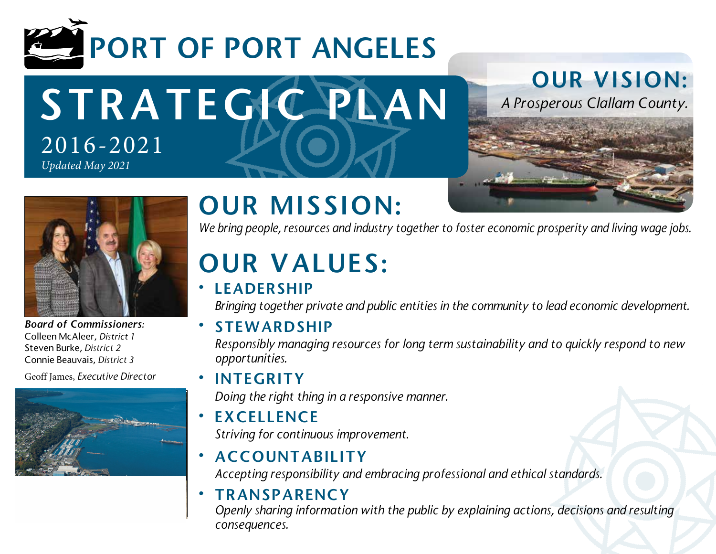

STRATEGIC PLAN 2016-2021 *Updated May 2021*

## OUR VISION:

*A Prosperous Clallam County.*





*Board of Commissioners:* Colleen McAleer, *District 1* Steven Burke, *District 2* Connie Beauvais, *District 3* 

Geoff James, *Executive Director*



# OUR MISSION:

*We bring people, resources and industry together to foster economic prosperity and living wage jobs.*

# OUR VALUES:

### **LEADERSHIP**

*Bringing together private and public entities in the community to lead economic development.*

**STEWARDSHIP** 

*Responsibly managing resources for long term sustainability and to quickly respond to new opportunities.*

• INTEGRITY

*Doing the right thing in a responsive manner.*

- **EXCELLENCE** *Striving for continuous improvement.*
- **ACCOUNTABILITY** *Accepting responsibility and embracing professional and ethical standards.*

#### **TRANSPARENCY**

*Openly sharing information with the public by explaining actions, decisions and resulting consequences.*